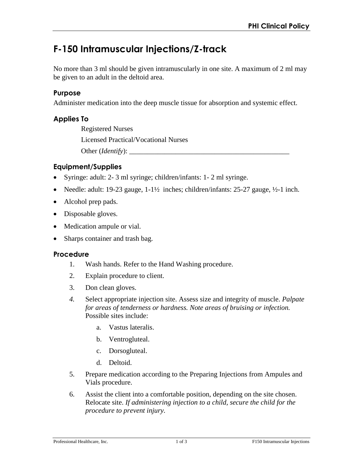# **F-150 Intramuscular Injections/Z-track**

No more than 3 ml should be given intramuscularly in one site. A maximum of 2 ml may be given to an adult in the deltoid area.

# **Purpose**

Administer medication into the deep muscle tissue for absorption and systemic effect.

# **Applies To**

Registered Nurses Licensed Practical/Vocational Nurses Other (*Identify*): \_\_\_\_\_\_\_\_\_\_\_\_\_\_\_\_\_\_\_\_\_\_\_\_\_\_\_\_\_\_\_\_\_\_\_\_\_\_\_\_\_\_\_\_\_

# **Equipment/Supplies**

- Syringe: adult: 2- 3 ml syringe; children/infants: 1- 2 ml syringe.
- Needle: adult: 19-23 gauge,  $1-1\frac{1}{2}$  inches; children/infants: 25-27 gauge,  $\frac{1}{2}-1$  inch.
- Alcohol prep pads.
- Disposable gloves.
- Medication ampule or vial.
- Sharps container and trash bag.

#### **Procedure**

- 1. Wash hands. Refer to the Hand Washing procedure.
- 2. Explain procedure to client.
- 3. Don clean gloves.
- *4.* Select appropriate injection site. Assess size and integrity of muscle. *Palpate for areas of tenderness or hardness. Note areas of bruising or infection.*  Possible sites include:
	- a. Vastus lateralis.
	- b. Ventrogluteal.
	- c. Dorsogluteal.
	- d. Deltoid.
- 5. Prepare medication according to the Preparing Injections from Ampules and Vials procedure.
- 6. Assist the client into a comfortable position, depending on the site chosen. Relocate site. *If administering injection to a child, secure the child for the procedure to prevent injury.*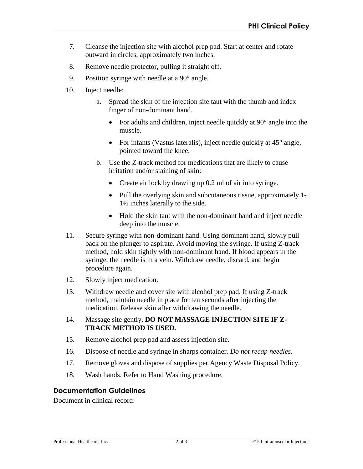- 7. Cleanse the injection site with alcohol prep pad. Start at center and rotate outward in circles, approximately two inches.
- 8. Remove needle protector, pulling it straight off.
- 9. Position syringe with needle at a 90° angle.
- 10. Inject needle:
	- a. Spread the skin of the injection site taut with the thumb and index finger of non-dominant hand.
		- For adults and children, inject needle quickly at 90° angle into the muscle.
		- For infants (Vastus lateralis), inject needle quickly at  $45^{\circ}$  angle, pointed toward the knee.
	- b. Use the Z-track method for medications that are likely to cause irritation and/or staining of skin:
		- Create air lock by drawing up 0.2 ml of air into syringe.
		- Pull the overlying skin and subcutaneous tissue, approximately 1- 1½ inches laterally to the side.
		- Hold the skin taut with the non-dominant hand and inject needle deep into the muscle.
- 11. Secure syringe with non-dominant hand. Using dominant hand, slowly pull back on the plunger to aspirate. Avoid moving the syringe. If using Z-track method, hold skin tightly with non-dominant hand. If blood appears in the syringe, the needle is in a vein. Withdraw needle, discard, and begin procedure again.
- 12. Slowly inject medication.
- 13. Withdraw needle and cover site with alcohol prep pad. If using Z-track method, maintain needle in place for ten seconds after injecting the medication. Release skin after withdrawing the needle.
- 14. Massage site gently. **DO NOT MASSAGE INJECTION SITE IF Z-TRACK METHOD IS USED.**
- 15. Remove alcohol prep pad and assess injection site.
- 16. Dispose of needle and syringe in sharps container. *Do not recap needles.*
- 17. Remove gloves and dispose of supplies per Agency Waste Disposal Policy.
- 18. Wash hands. Refer to Hand Washing procedure.

## **Documentation Guidelines**

Document in clinical record: